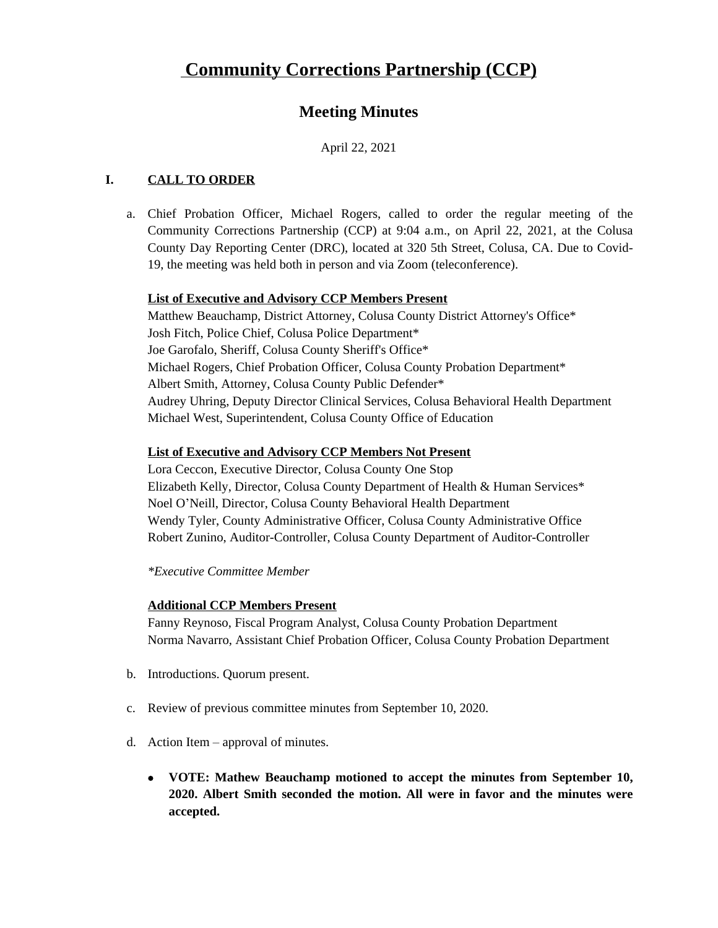# **Meeting Minutes**

April 22, 2021

# **I. CALL TO ORDER**

a. Chief Probation Officer, Michael Rogers, called to order the regular meeting of the Community Corrections Partnership (CCP) at 9:04 a.m., on April 22, 2021, at the Colusa County Day Reporting Center (DRC), located at 320 5th Street, Colusa, CA. Due to Covid-19, the meeting was held both in person and via Zoom (teleconference).

# **List of Executive and Advisory CCP Members Present**

Matthew Beauchamp, District Attorney, Colusa County District Attorney's Office\* Josh Fitch, Police Chief, Colusa Police Department\* Joe Garofalo, Sheriff, Colusa County Sheriff's Office\* Michael Rogers, Chief Probation Officer, Colusa County Probation Department\* Albert Smith, Attorney, Colusa County Public Defender\* Audrey Uhring, Deputy Director Clinical Services, Colusa Behavioral Health Department Michael West, Superintendent, Colusa County Office of Education

### **List of Executive and Advisory CCP Members Not Present**

Lora Ceccon, Executive Director, Colusa County One Stop Elizabeth Kelly, Director, Colusa County Department of Health & Human Services\* Noel O'Neill, Director, Colusa County Behavioral Health Department Wendy Tyler, County Administrative Officer, Colusa County Administrative Office Robert Zunino, Auditor-Controller, Colusa County Department of Auditor-Controller

*\*Executive Committee Member*

# **Additional CCP Members Present**

Fanny Reynoso, Fiscal Program Analyst, Colusa County Probation Department Norma Navarro, Assistant Chief Probation Officer, Colusa County Probation Department

- b. Introductions. Quorum present.
- c. Review of previous committee minutes from September 10, 2020.
- d. Action Item approval of minutes.
	- **VOTE: Mathew Beauchamp motioned to accept the minutes from September 10, 2020. Albert Smith seconded the motion. All were in favor and the minutes were accepted.**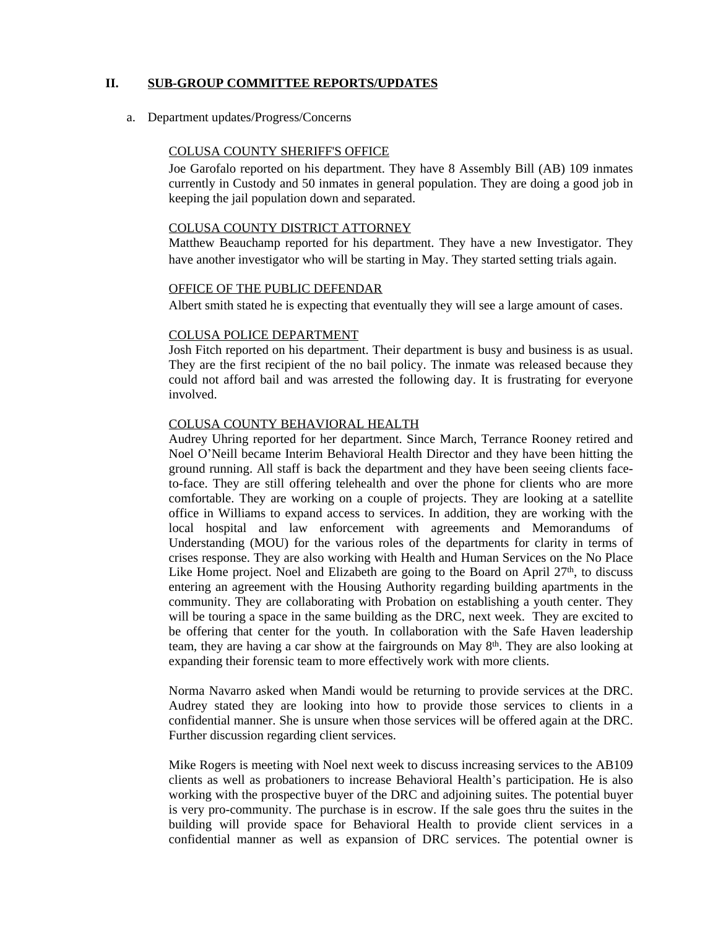### **II. SUB-GROUP COMMITTEE REPORTS/UPDATES**

a. Department updates/Progress/Concerns

#### COLUSA COUNTY SHERIFF'S OFFICE

Joe Garofalo reported on his department. They have 8 Assembly Bill (AB) 109 inmates currently in Custody and 50 inmates in general population. They are doing a good job in keeping the jail population down and separated.

#### COLUSA COUNTY DISTRICT ATTORNEY

Matthew Beauchamp reported for his department. They have a new Investigator. They have another investigator who will be starting in May. They started setting trials again.

#### OFFICE OF THE PUBLIC DEFENDAR

Albert smith stated he is expecting that eventually they will see a large amount of cases.

#### COLUSA POLICE DEPARTMENT

Josh Fitch reported on his department. Their department is busy and business is as usual. They are the first recipient of the no bail policy. The inmate was released because they could not afford bail and was arrested the following day. It is frustrating for everyone involved.

#### COLUSA COUNTY BEHAVIORAL HEALTH

Audrey Uhring reported for her department. Since March, Terrance Rooney retired and Noel O'Neill became Interim Behavioral Health Director and they have been hitting the ground running. All staff is back the department and they have been seeing clients faceto-face. They are still offering telehealth and over the phone for clients who are more comfortable. They are working on a couple of projects. They are looking at a satellite office in Williams to expand access to services. In addition, they are working with the local hospital and law enforcement with agreements and Memorandums of Understanding (MOU) for the various roles of the departments for clarity in terms of crises response. They are also working with Health and Human Services on the No Place Like Home project. Noel and Elizabeth are going to the Board on April 27<sup>th</sup>, to discuss entering an agreement with the Housing Authority regarding building apartments in the community. They are collaborating with Probation on establishing a youth center. They will be touring a space in the same building as the DRC, next week. They are excited to be offering that center for the youth. In collaboration with the Safe Haven leadership team, they are having a car show at the fairgrounds on May 8<sup>th</sup>. They are also looking at expanding their forensic team to more effectively work with more clients.

Norma Navarro asked when Mandi would be returning to provide services at the DRC. Audrey stated they are looking into how to provide those services to clients in a confidential manner. She is unsure when those services will be offered again at the DRC. Further discussion regarding client services.

Mike Rogers is meeting with Noel next week to discuss increasing services to the AB109 clients as well as probationers to increase Behavioral Health's participation. He is also working with the prospective buyer of the DRC and adjoining suites. The potential buyer is very pro-community. The purchase is in escrow. If the sale goes thru the suites in the building will provide space for Behavioral Health to provide client services in a confidential manner as well as expansion of DRC services. The potential owner is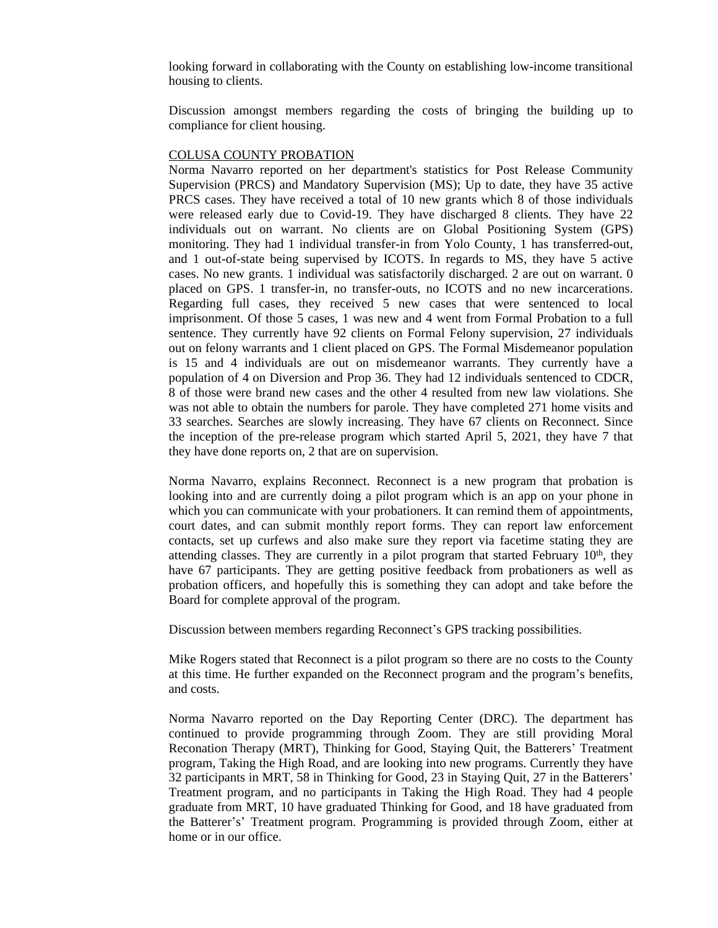looking forward in collaborating with the County on establishing low-income transitional housing to clients.

Discussion amongst members regarding the costs of bringing the building up to compliance for client housing.

#### COLUSA COUNTY PROBATION

Norma Navarro reported on her department's statistics for Post Release Community Supervision (PRCS) and Mandatory Supervision (MS); Up to date, they have 35 active PRCS cases. They have received a total of 10 new grants which 8 of those individuals were released early due to Covid-19. They have discharged 8 clients. They have 22 individuals out on warrant. No clients are on Global Positioning System (GPS) monitoring. They had 1 individual transfer-in from Yolo County, 1 has transferred-out, and 1 out-of-state being supervised by ICOTS. In regards to MS, they have 5 active cases. No new grants. 1 individual was satisfactorily discharged. 2 are out on warrant. 0 placed on GPS. 1 transfer-in, no transfer-outs, no ICOTS and no new incarcerations. Regarding full cases, they received 5 new cases that were sentenced to local imprisonment. Of those 5 cases, 1 was new and 4 went from Formal Probation to a full sentence. They currently have 92 clients on Formal Felony supervision, 27 individuals out on felony warrants and 1 client placed on GPS. The Formal Misdemeanor population is 15 and 4 individuals are out on misdemeanor warrants. They currently have a population of 4 on Diversion and Prop 36. They had 12 individuals sentenced to CDCR, 8 of those were brand new cases and the other 4 resulted from new law violations. She was not able to obtain the numbers for parole. They have completed 271 home visits and 33 searches. Searches are slowly increasing. They have 67 clients on Reconnect. Since the inception of the pre-release program which started April 5, 2021, they have 7 that they have done reports on, 2 that are on supervision.

Norma Navarro, explains Reconnect. Reconnect is a new program that probation is looking into and are currently doing a pilot program which is an app on your phone in which you can communicate with your probationers. It can remind them of appointments, court dates, and can submit monthly report forms. They can report law enforcement contacts, set up curfews and also make sure they report via facetime stating they are attending classes. They are currently in a pilot program that started February  $10<sup>th</sup>$ , they have 67 participants. They are getting positive feedback from probationers as well as probation officers, and hopefully this is something they can adopt and take before the Board for complete approval of the program.

Discussion between members regarding Reconnect's GPS tracking possibilities.

Mike Rogers stated that Reconnect is a pilot program so there are no costs to the County at this time. He further expanded on the Reconnect program and the program's benefits, and costs.

Norma Navarro reported on the Day Reporting Center (DRC). The department has continued to provide programming through Zoom. They are still providing Moral Reconation Therapy (MRT), Thinking for Good, Staying Quit, the Batterers' Treatment program, Taking the High Road, and are looking into new programs. Currently they have 32 participants in MRT, 58 in Thinking for Good, 23 in Staying Quit, 27 in the Batterers' Treatment program, and no participants in Taking the High Road. They had 4 people graduate from MRT, 10 have graduated Thinking for Good, and 18 have graduated from the Batterer's' Treatment program. Programming is provided through Zoom, either at home or in our office.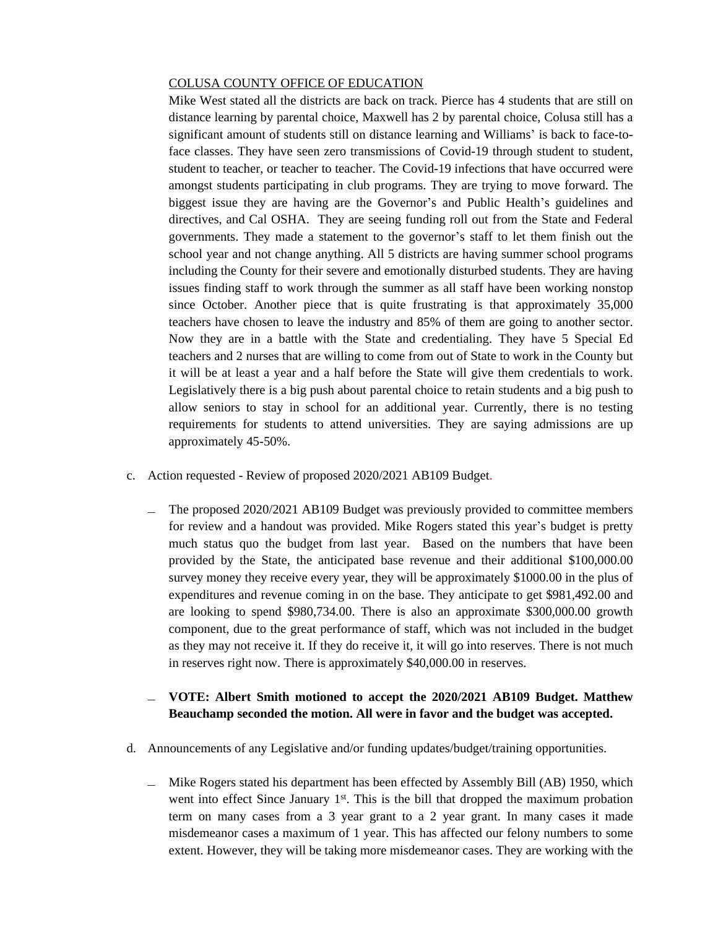#### COLUSA COUNTY OFFICE OF EDUCATION

Mike West stated all the districts are back on track. Pierce has 4 students that are still on distance learning by parental choice, Maxwell has 2 by parental choice, Colusa still has a significant amount of students still on distance learning and Williams' is back to face-toface classes. They have seen zero transmissions of Covid-19 through student to student, student to teacher, or teacher to teacher. The Covid-19 infections that have occurred were amongst students participating in club programs. They are trying to move forward. The biggest issue they are having are the Governor's and Public Health's guidelines and directives, and Cal OSHA. They are seeing funding roll out from the State and Federal governments. They made a statement to the governor's staff to let them finish out the school year and not change anything. All 5 districts are having summer school programs including the County for their severe and emotionally disturbed students. They are having issues finding staff to work through the summer as all staff have been working nonstop since October. Another piece that is quite frustrating is that approximately 35,000 teachers have chosen to leave the industry and 85% of them are going to another sector. Now they are in a battle with the State and credentialing. They have 5 Special Ed teachers and 2 nurses that are willing to come from out of State to work in the County but it will be at least a year and a half before the State will give them credentials to work. Legislatively there is a big push about parental choice to retain students and a big push to allow seniors to stay in school for an additional year. Currently, there is no testing requirements for students to attend universities. They are saying admissions are up approximately 45-50%.

- c. Action requested Review of proposed 2020/2021 AB109 Budget.
	- ̶ The proposed 2020/2021 AB109 Budget was previously provided to committee members for review and a handout was provided. Mike Rogers stated this year's budget is pretty much status quo the budget from last year. Based on the numbers that have been provided by the State, the anticipated base revenue and their additional \$100,000.00 survey money they receive every year, they will be approximately \$1000.00 in the plus of expenditures and revenue coming in on the base. They anticipate to get \$981,492.00 and are looking to spend \$980,734.00. There is also an approximate \$300,000.00 growth component, due to the great performance of staff, which was not included in the budget as they may not receive it. If they do receive it, it will go into reserves. There is not much in reserves right now. There is approximately \$40,000.00 in reserves.

### ̶ **VOTE: Albert Smith motioned to accept the 2020/2021 AB109 Budget. Matthew Beauchamp seconded the motion. All were in favor and the budget was accepted.**

- d. Announcements of any Legislative and/or funding updates/budget/training opportunities.
	- ̶ Mike Rogers stated his department has been effected by Assembly Bill (AB) 1950, which went into effect Since January 1<sup>st</sup>. This is the bill that dropped the maximum probation term on many cases from a 3 year grant to a 2 year grant. In many cases it made misdemeanor cases a maximum of 1 year. This has affected our felony numbers to some extent. However, they will be taking more misdemeanor cases. They are working with the